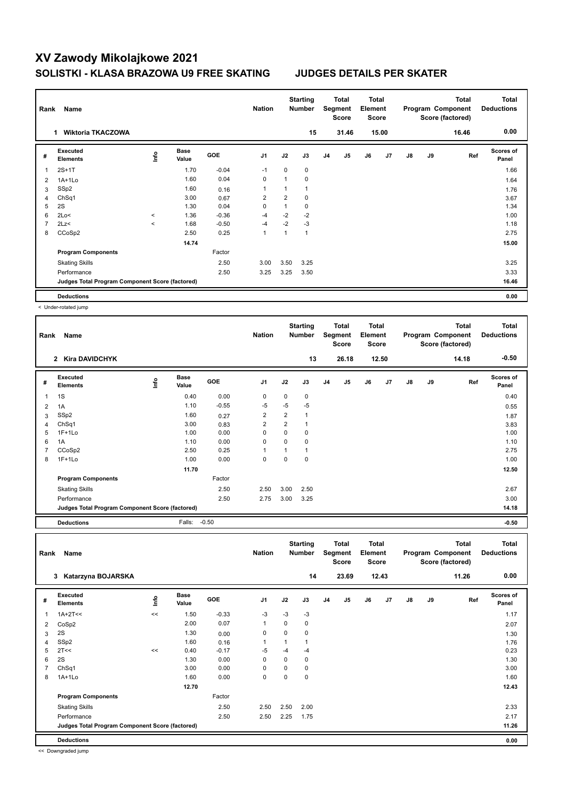┑

| Rank | Name                                            | <b>Nation</b> |                      | <b>Starting</b><br><b>Number</b> |                | <b>Total</b><br>Segment<br><b>Score</b> | <b>Total</b><br>Element<br><b>Score</b> |                |                |    | <b>Total</b><br>Program Component<br>Score (factored) | <b>Total</b><br><b>Deductions</b> |    |       |                    |
|------|-------------------------------------------------|---------------|----------------------|----------------------------------|----------------|-----------------------------------------|-----------------------------------------|----------------|----------------|----|-------------------------------------------------------|-----------------------------------|----|-------|--------------------|
|      | <b>Wiktoria TKACZOWA</b><br>1.                  |               |                      |                                  |                |                                         | 15                                      |                | 31.46          |    | 15.00                                                 |                                   |    | 16.46 | 0.00               |
| #    | Executed<br><b>Elements</b>                     | ١nf٥          | <b>Base</b><br>Value | GOE                              | J1             | J2                                      | J3                                      | J <sub>4</sub> | J <sub>5</sub> | J6 | J7                                                    | $\mathsf{J}8$                     | J9 | Ref   | Scores of<br>Panel |
| 1    | $2S+1T$                                         |               | 1.70                 | $-0.04$                          | $-1$           | 0                                       | 0                                       |                |                |    |                                                       |                                   |    |       | 1.66               |
| 2    | $1A+1Lo$                                        |               | 1.60                 | 0.04                             | $\mathbf 0$    | 1                                       | $\mathbf 0$                             |                |                |    |                                                       |                                   |    |       | 1.64               |
| 3    | SSp2                                            |               | 1.60                 | 0.16                             | 1              | 1                                       |                                         |                |                |    |                                                       |                                   |    |       | 1.76               |
| 4    | Ch <sub>Sq1</sub>                               |               | 3.00                 | 0.67                             | $\overline{2}$ | $\overline{2}$                          | 0                                       |                |                |    |                                                       |                                   |    |       | 3.67               |
| 5    | 2S                                              |               | 1.30                 | 0.04                             | 0              | 1                                       | 0                                       |                |                |    |                                                       |                                   |    |       | 1.34               |
| 6    | 2Lo<                                            | $\prec$       | 1.36                 | $-0.36$                          | $-4$           | $-2$                                    | $-2$                                    |                |                |    |                                                       |                                   |    |       | 1.00               |
| 7    | 2Lz<                                            | $\hat{~}$     | 1.68                 | $-0.50$                          | $-4$           | $-2$                                    | $-3$                                    |                |                |    |                                                       |                                   |    |       | 1.18               |
| 8    | CCoSp2                                          |               | 2.50                 | 0.25                             | 1              | 1                                       | 1                                       |                |                |    |                                                       |                                   |    |       | 2.75               |
|      |                                                 |               | 14.74                |                                  |                |                                         |                                         |                |                |    |                                                       |                                   |    |       | 15.00              |
|      | <b>Program Components</b>                       |               |                      | Factor                           |                |                                         |                                         |                |                |    |                                                       |                                   |    |       |                    |
|      | <b>Skating Skills</b>                           |               |                      | 2.50                             | 3.00           | 3.50                                    | 3.25                                    |                |                |    |                                                       |                                   |    |       | 3.25               |
|      | Performance                                     |               |                      | 2.50                             | 3.25           | 3.25                                    | 3.50                                    |                |                |    |                                                       |                                   |    |       | 3.33               |
|      | Judges Total Program Component Score (factored) |               |                      |                                  |                |                                         |                                         |                |                |    |                                                       |                                   |    |       | 16.46              |
|      | <b>Deductions</b>                               |               |                      |                                  |                |                                         |                                         |                |                |    |                                                       |                                   |    |       | 0.00               |

< Under-rotated jump

 $\Gamma$ 

| Rank | Name<br><b>Kira DAVIDCHYK</b><br>$\mathbf{2}$   |      |                      |         |                |                | <b>Starting</b><br><b>Number</b> |                | Total<br>Segment<br><b>Score</b> | <b>Total</b><br>Element<br><b>Score</b> |       |               |    | <b>Total</b><br>Program Component<br>Score (factored) | <b>Total</b><br><b>Deductions</b> |
|------|-------------------------------------------------|------|----------------------|---------|----------------|----------------|----------------------------------|----------------|----------------------------------|-----------------------------------------|-------|---------------|----|-------------------------------------------------------|-----------------------------------|
|      |                                                 |      |                      |         |                |                | 13                               |                | 26.18                            |                                         | 12.50 |               |    | 14.18                                                 | $-0.50$                           |
| #    | Executed<br><b>Elements</b>                     | Info | <b>Base</b><br>Value | GOE     | J <sub>1</sub> | J2             | J3                               | J <sub>4</sub> | J5                               | J6                                      | J7    | $\mathsf{J}8$ | J9 | Ref                                                   | Scores of<br>Panel                |
| 1    | 1S                                              |      | 0.40                 | 0.00    | 0              | 0              | 0                                |                |                                  |                                         |       |               |    |                                                       | 0.40                              |
| 2    | 1A                                              |      | 1.10                 | $-0.55$ | -5             | $-5$           | $-5$                             |                |                                  |                                         |       |               |    |                                                       | 0.55                              |
| 3    | SSp2                                            |      | 1.60                 | 0.27    | $\overline{2}$ | 2              | 1                                |                |                                  |                                         |       |               |    |                                                       | 1.87                              |
| 4    | Ch <sub>Sq1</sub>                               |      | 3.00                 | 0.83    | 2              | $\overline{2}$ | 1                                |                |                                  |                                         |       |               |    |                                                       | 3.83                              |
| 5    | $1F+1Lo$                                        |      | 1.00                 | 0.00    | 0              | 0              | 0                                |                |                                  |                                         |       |               |    |                                                       | 1.00                              |
| 6    | 1A                                              |      | 1.10                 | 0.00    | 0              | 0              | 0                                |                |                                  |                                         |       |               |    |                                                       | 1.10                              |
|      | CCoSp2                                          |      | 2.50                 | 0.25    | $\overline{1}$ |                | $\mathbf{1}$                     |                |                                  |                                         |       |               |    |                                                       | 2.75                              |
| 8    | $1F+1Lo$                                        |      | 1.00                 | 0.00    | 0              | 0              | 0                                |                |                                  |                                         |       |               |    |                                                       | 1.00                              |
|      |                                                 |      | 11.70                |         |                |                |                                  |                |                                  |                                         |       |               |    |                                                       | 12.50                             |
|      | <b>Program Components</b>                       |      |                      | Factor  |                |                |                                  |                |                                  |                                         |       |               |    |                                                       |                                   |
|      | <b>Skating Skills</b>                           |      |                      | 2.50    | 2.50           | 3.00           | 2.50                             |                |                                  |                                         |       |               |    |                                                       | 2.67                              |
|      | Performance                                     |      |                      | 2.50    | 2.75           | 3.00           | 3.25                             |                |                                  |                                         |       |               |    |                                                       | 3.00                              |
|      | Judges Total Program Component Score (factored) |      |                      |         |                |                |                                  |                |                                  |                                         |       |               |    |                                                       | 14.18                             |
|      | <b>Deductions</b>                               |      | Falls:               | $-0.50$ |                |                |                                  |                |                                  |                                         |       |               |    |                                                       | $-0.50$                           |

| Rank           | Name                                            |      |                      |            | <b>Nation</b>  |          | <b>Starting</b><br><b>Number</b> |                | Total<br>Segment<br><b>Score</b> | Total<br>Element<br><b>Score</b> |       |               |    | <b>Total</b><br>Program Component<br>Score (factored) | <b>Total</b><br><b>Deductions</b> |
|----------------|-------------------------------------------------|------|----------------------|------------|----------------|----------|----------------------------------|----------------|----------------------------------|----------------------------------|-------|---------------|----|-------------------------------------------------------|-----------------------------------|
|                | Katarzyna BOJARSKA<br>3                         |      |                      |            |                |          | 14                               |                | 23.69                            |                                  | 12.43 |               |    | 11.26                                                 | 0.00                              |
| #              | Executed<br><b>Elements</b>                     | lnfo | <b>Base</b><br>Value | <b>GOE</b> | J <sub>1</sub> | J2       | J3                               | J <sub>4</sub> | J5                               | J6                               | J7    | $\mathsf{J}8$ | J9 | Ref                                                   | <b>Scores of</b><br>Panel         |
| $\mathbf{1}$   | $1A+2T<<$                                       | <<   | 1.50                 | $-0.33$    | $-3$           | $-3$     | $-3$                             |                |                                  |                                  |       |               |    |                                                       | 1.17                              |
| 2              | CoSp2                                           |      | 2.00                 | 0.07       | 1              | 0        | 0                                |                |                                  |                                  |       |               |    |                                                       | 2.07                              |
| 3              | 2S                                              |      | 1.30                 | 0.00       | 0              | $\Omega$ | 0                                |                |                                  |                                  |       |               |    |                                                       | 1.30                              |
| $\overline{4}$ | SSp2                                            |      | 1.60                 | 0.16       | 1              | 1        |                                  |                |                                  |                                  |       |               |    |                                                       | 1.76                              |
| 5              | 2T<<                                            | <<   | 0.40                 | $-0.17$    | $-5$           | $-4$     | $-4$                             |                |                                  |                                  |       |               |    |                                                       | 0.23                              |
| 6              | 2S                                              |      | 1.30                 | 0.00       | 0              | $\Omega$ | 0                                |                |                                  |                                  |       |               |    |                                                       | 1.30                              |
| $\overline{7}$ | ChSq1                                           |      | 3.00                 | 0.00       | 0              | 0        | 0                                |                |                                  |                                  |       |               |    |                                                       | 3.00                              |
| 8              | 1A+1Lo                                          |      | 1.60                 | 0.00       | 0              | 0        | 0                                |                |                                  |                                  |       |               |    |                                                       | 1.60                              |
|                |                                                 |      | 12.70                |            |                |          |                                  |                |                                  |                                  |       |               |    |                                                       | 12.43                             |
|                | <b>Program Components</b>                       |      |                      | Factor     |                |          |                                  |                |                                  |                                  |       |               |    |                                                       |                                   |
|                | <b>Skating Skills</b>                           |      |                      | 2.50       | 2.50           | 2.50     | 2.00                             |                |                                  |                                  |       |               |    |                                                       | 2.33                              |
|                | Performance                                     |      |                      | 2.50       | 2.50           | 2.25     | 1.75                             |                |                                  |                                  |       |               |    |                                                       | 2.17                              |
|                | Judges Total Program Component Score (factored) |      |                      |            |                |          |                                  |                |                                  |                                  |       |               |    |                                                       | 11.26                             |
|                | <b>Deductions</b>                               |      |                      |            |                |          |                                  |                |                                  |                                  |       |               |    |                                                       | 0.00                              |

<< Downgraded jump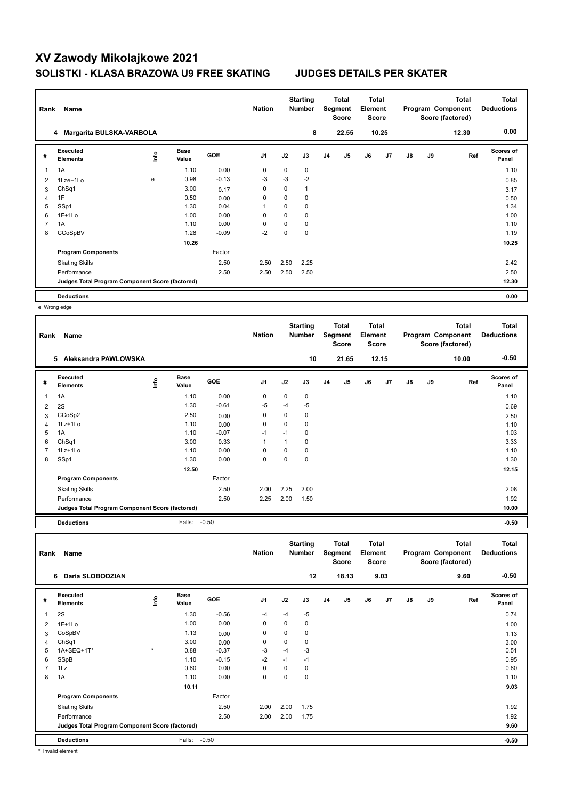| Rank | Name                                            |      | <b>Nation</b>        |         | <b>Starting</b><br><b>Number</b> |      | <b>Total</b><br>Segment<br>Score | <b>Total</b><br>Element<br><b>Score</b> |       |    |       | <b>Total</b><br>Program Component<br>Score (factored) | <b>Total</b><br><b>Deductions</b> |       |                           |
|------|-------------------------------------------------|------|----------------------|---------|----------------------------------|------|----------------------------------|-----------------------------------------|-------|----|-------|-------------------------------------------------------|-----------------------------------|-------|---------------------------|
|      | 4 Margarita BULSKA-VARBOLA                      |      |                      |         |                                  |      | 8                                |                                         | 22.55 |    | 10.25 |                                                       |                                   | 12.30 | 0.00                      |
| #    | Executed<br><b>Elements</b>                     | ١nf٥ | <b>Base</b><br>Value | GOE     | J <sub>1</sub>                   | J2   | J3                               | J <sub>4</sub>                          | J5    | J6 | J7    | $\mathsf{J}8$                                         | J9                                | Ref   | <b>Scores of</b><br>Panel |
| 1    | 1A                                              |      | 1.10                 | 0.00    | 0                                | 0    | $\mathbf 0$                      |                                         |       |    |       |                                                       |                                   |       | 1.10                      |
| 2    | 1Lze+1Lo                                        | e    | 0.98                 | $-0.13$ | $-3$                             | $-3$ | $-2$                             |                                         |       |    |       |                                                       |                                   |       | 0.85                      |
| 3    | Ch <sub>Sq1</sub>                               |      | 3.00                 | 0.17    | 0                                | 0    | 1                                |                                         |       |    |       |                                                       |                                   |       | 3.17                      |
| 4    | 1F                                              |      | 0.50                 | 0.00    | 0                                | 0    | 0                                |                                         |       |    |       |                                                       |                                   |       | 0.50                      |
| 5    | SSp1                                            |      | 1.30                 | 0.04    | 1                                | 0    | $\mathbf 0$                      |                                         |       |    |       |                                                       |                                   |       | 1.34                      |
| 6    | $1F+1Lo$                                        |      | 1.00                 | 0.00    | 0                                | 0    | 0                                |                                         |       |    |       |                                                       |                                   |       | 1.00                      |
| 7    | 1A                                              |      | 1.10                 | 0.00    | $\Omega$                         | 0    | 0                                |                                         |       |    |       |                                                       |                                   |       | 1.10                      |
| 8    | CCoSpBV                                         |      | 1.28                 | $-0.09$ | $-2$                             | 0    | $\mathbf 0$                      |                                         |       |    |       |                                                       |                                   |       | 1.19                      |
|      |                                                 |      | 10.26                |         |                                  |      |                                  |                                         |       |    |       |                                                       |                                   |       | 10.25                     |
|      | <b>Program Components</b>                       |      |                      | Factor  |                                  |      |                                  |                                         |       |    |       |                                                       |                                   |       |                           |
|      | <b>Skating Skills</b>                           |      |                      | 2.50    | 2.50                             | 2.50 | 2.25                             |                                         |       |    |       |                                                       |                                   |       | 2.42                      |
|      | Performance                                     |      |                      | 2.50    | 2.50                             | 2.50 | 2.50                             |                                         |       |    |       |                                                       |                                   |       | 2.50                      |
|      | Judges Total Program Component Score (factored) |      |                      |         |                                  |      |                                  |                                         |       |    |       |                                                       |                                   |       | 12.30                     |
|      | <b>Deductions</b>                               |      |                      |         |                                  |      |                                  |                                         |       |    |       |                                                       |                                   |       | 0.00                      |

e Wrong edge

| Rank | Name                                            |    | <b>Nation</b>        |            | <b>Starting</b><br><b>Number</b> |          | <b>Total</b><br>Segment<br><b>Score</b> | <b>Total</b><br>Element<br>Score |                |    |       | <b>Total</b><br>Program Component<br>Score (factored) | <b>Total</b><br><b>Deductions</b> |       |                           |
|------|-------------------------------------------------|----|----------------------|------------|----------------------------------|----------|-----------------------------------------|----------------------------------|----------------|----|-------|-------------------------------------------------------|-----------------------------------|-------|---------------------------|
|      | 5<br>Aleksandra PAWLOWSKA                       |    |                      |            |                                  |          | 10                                      |                                  | 21.65          |    | 12.15 |                                                       |                                   | 10.00 | $-0.50$                   |
| #    | Executed<br><b>Elements</b>                     | ۴ů | <b>Base</b><br>Value | <b>GOE</b> | J <sub>1</sub>                   | J2       | J3                                      | J <sub>4</sub>                   | J <sub>5</sub> | J6 | J7    | J8                                                    | J9                                | Ref   | <b>Scores of</b><br>Panel |
| 1    | 1A                                              |    | 1.10                 | 0.00       | 0                                | 0        | 0                                       |                                  |                |    |       |                                                       |                                   |       | 1.10                      |
| 2    | 2S                                              |    | 1.30                 | $-0.61$    | -5                               | $-4$     | -5                                      |                                  |                |    |       |                                                       |                                   |       | 0.69                      |
| 3    | CCoSp2                                          |    | 2.50                 | 0.00       | $\mathbf 0$                      | $\Omega$ | 0                                       |                                  |                |    |       |                                                       |                                   |       | 2.50                      |
| 4    | $1Lz+1Lo$                                       |    | 1.10                 | 0.00       | 0                                | $\Omega$ | 0                                       |                                  |                |    |       |                                                       |                                   |       | 1.10                      |
| 5    | 1A                                              |    | 1.10                 | $-0.07$    | $-1$                             | $-1$     | 0                                       |                                  |                |    |       |                                                       |                                   |       | 1.03                      |
| 6    | ChSq1                                           |    | 3.00                 | 0.33       | 1                                | 1        | 0                                       |                                  |                |    |       |                                                       |                                   |       | 3.33                      |
| 7    | $1Lz+1Lo$                                       |    | 1.10                 | 0.00       | $\Omega$                         | $\Omega$ | 0                                       |                                  |                |    |       |                                                       |                                   |       | 1.10                      |
| 8    | SSp1                                            |    | 1.30                 | 0.00       | 0                                | 0        | 0                                       |                                  |                |    |       |                                                       |                                   |       | 1.30                      |
|      |                                                 |    | 12.50                |            |                                  |          |                                         |                                  |                |    |       |                                                       |                                   |       | 12.15                     |
|      | <b>Program Components</b>                       |    |                      | Factor     |                                  |          |                                         |                                  |                |    |       |                                                       |                                   |       |                           |
|      | <b>Skating Skills</b>                           |    |                      | 2.50       | 2.00                             | 2.25     | 2.00                                    |                                  |                |    |       |                                                       |                                   |       | 2.08                      |
|      | Performance                                     |    |                      | 2.50       | 2.25                             | 2.00     | 1.50                                    |                                  |                |    |       |                                                       |                                   |       | 1.92                      |
|      | Judges Total Program Component Score (factored) |    |                      |            |                                  |          |                                         |                                  |                |    |       |                                                       |                                   |       | 10.00                     |
|      | <b>Deductions</b>                               |    | Falls:               | $-0.50$    |                                  |          |                                         |                                  |                |    |       |                                                       |                                   |       | $-0.50$                   |

| Rank           | Name                                            |         |                      |            | <b>Nation</b>  |      | <b>Starting</b><br><b>Number</b> |                | Total<br>Segment<br><b>Score</b> | <b>Total</b><br>Element<br><b>Score</b> |      |               |    | <b>Total</b><br>Program Component<br>Score (factored) | <b>Total</b><br><b>Deductions</b> |
|----------------|-------------------------------------------------|---------|----------------------|------------|----------------|------|----------------------------------|----------------|----------------------------------|-----------------------------------------|------|---------------|----|-------------------------------------------------------|-----------------------------------|
|                | Daria SLOBODZIAN<br>6                           |         |                      |            |                |      | 12                               |                | 18.13                            |                                         | 9.03 |               |    | 9.60                                                  | $-0.50$                           |
| #              | Executed<br><b>Elements</b>                     | lnfo    | <b>Base</b><br>Value | <b>GOE</b> | J <sub>1</sub> | J2   | J3                               | J <sub>4</sub> | J <sub>5</sub>                   | J6                                      | J7   | $\mathsf{J}8$ | J9 | Ref                                                   | <b>Scores of</b><br>Panel         |
| 1              | 2S                                              |         | 1.30                 | $-0.56$    | $-4$           | $-4$ | -5                               |                |                                  |                                         |      |               |    |                                                       | 0.74                              |
| 2              | $1F+1Lo$                                        |         | 1.00                 | 0.00       | 0              | 0    | 0                                |                |                                  |                                         |      |               |    |                                                       | 1.00                              |
| 3              | CoSpBV                                          |         | 1.13                 | 0.00       | 0              | 0    | 0                                |                |                                  |                                         |      |               |    |                                                       | 1.13                              |
| 4              | ChSq1                                           |         | 3.00                 | 0.00       | 0              | 0    | 0                                |                |                                  |                                         |      |               |    |                                                       | 3.00                              |
| 5              | 1A+SEQ+1T*                                      | $\star$ | 0.88                 | $-0.37$    | $-3$           | $-4$ | $-3$                             |                |                                  |                                         |      |               |    |                                                       | 0.51                              |
| 6              | SSpB                                            |         | 1.10                 | $-0.15$    | $-2$           | $-1$ | $-1$                             |                |                                  |                                         |      |               |    |                                                       | 0.95                              |
| $\overline{7}$ | 1Lz                                             |         | 0.60                 | 0.00       | 0              | 0    | 0                                |                |                                  |                                         |      |               |    |                                                       | 0.60                              |
| 8              | 1A                                              |         | 1.10                 | 0.00       | 0              | 0    | 0                                |                |                                  |                                         |      |               |    |                                                       | 1.10                              |
|                |                                                 |         | 10.11                |            |                |      |                                  |                |                                  |                                         |      |               |    |                                                       | 9.03                              |
|                | <b>Program Components</b>                       |         |                      | Factor     |                |      |                                  |                |                                  |                                         |      |               |    |                                                       |                                   |
|                | <b>Skating Skills</b>                           |         |                      | 2.50       | 2.00           | 2.00 | 1.75                             |                |                                  |                                         |      |               |    |                                                       | 1.92                              |
|                | Performance                                     |         |                      | 2.50       | 2.00           | 2.00 | 1.75                             |                |                                  |                                         |      |               |    |                                                       | 1.92                              |
|                | Judges Total Program Component Score (factored) |         |                      |            |                |      |                                  |                |                                  |                                         |      |               |    |                                                       | 9.60                              |
|                | <b>Deductions</b>                               |         | Falls:               | $-0.50$    |                |      |                                  |                |                                  |                                         |      |               |    |                                                       | $-0.50$                           |

\* Invalid element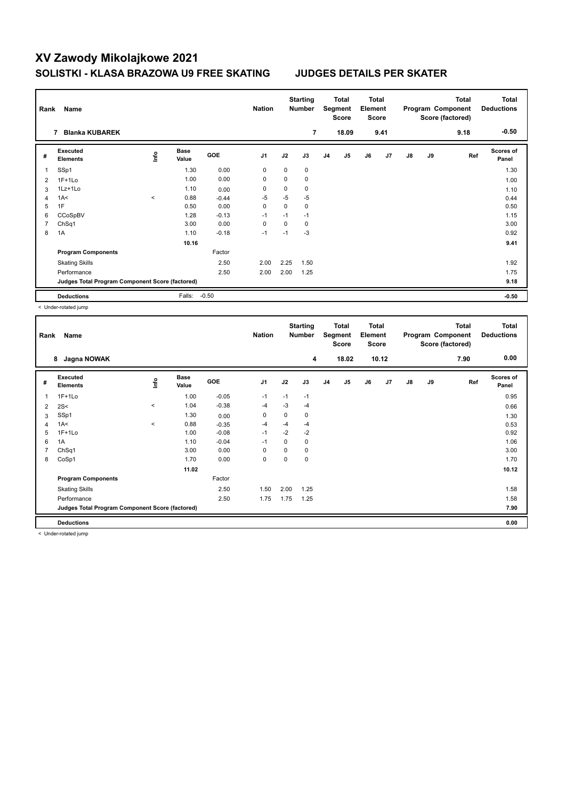| Rank | Name                                            |                         |                      |            | <b>Nation</b>  |             | <b>Starting</b><br>Number |    | Total<br>Segment<br><b>Score</b> | <b>Total</b><br>Element<br><b>Score</b> |      |    |    | <b>Total</b><br>Program Component<br>Score (factored) | <b>Total</b><br><b>Deductions</b> |
|------|-------------------------------------------------|-------------------------|----------------------|------------|----------------|-------------|---------------------------|----|----------------------------------|-----------------------------------------|------|----|----|-------------------------------------------------------|-----------------------------------|
|      | <b>Blanka KUBAREK</b><br>7                      |                         |                      |            |                |             | 7                         |    | 18.09                            |                                         | 9.41 |    |    | 9.18                                                  | $-0.50$                           |
| #    | Executed<br><b>Elements</b>                     | $\mathsf{f}^\mathsf{o}$ | <b>Base</b><br>Value | <b>GOE</b> | J <sub>1</sub> | J2          | J3                        | J4 | J <sub>5</sub>                   | J6                                      | J7   | J8 | J9 | Ref                                                   | <b>Scores of</b><br>Panel         |
| 1    | SSp1                                            |                         | 1.30                 | 0.00       | $\mathbf 0$    | $\mathbf 0$ | $\mathbf 0$               |    |                                  |                                         |      |    |    |                                                       | 1.30                              |
| 2    | $1F+1Lo$                                        |                         | 1.00                 | 0.00       | $\mathbf 0$    | 0           | 0                         |    |                                  |                                         |      |    |    |                                                       | 1.00                              |
| 3    | 1Lz+1Lo                                         |                         | 1.10                 | 0.00       | 0              | 0           | 0                         |    |                                  |                                         |      |    |    |                                                       | 1.10                              |
| 4    | 1A<                                             | $\prec$                 | 0.88                 | $-0.44$    | -5             | $-5$        | $-5$                      |    |                                  |                                         |      |    |    |                                                       | 0.44                              |
| 5    | 1F                                              |                         | 0.50                 | 0.00       | 0              | 0           | 0                         |    |                                  |                                         |      |    |    |                                                       | 0.50                              |
| 6    | CCoSpBV                                         |                         | 1.28                 | $-0.13$    | $-1$           | $-1$        | $-1$                      |    |                                  |                                         |      |    |    |                                                       | 1.15                              |
| 7    | ChSq1                                           |                         | 3.00                 | 0.00       | 0              | 0           | 0                         |    |                                  |                                         |      |    |    |                                                       | 3.00                              |
| 8    | 1A                                              |                         | 1.10                 | $-0.18$    | $-1$           | $-1$        | $-3$                      |    |                                  |                                         |      |    |    |                                                       | 0.92                              |
|      |                                                 |                         | 10.16                |            |                |             |                           |    |                                  |                                         |      |    |    |                                                       | 9.41                              |
|      | <b>Program Components</b>                       |                         |                      | Factor     |                |             |                           |    |                                  |                                         |      |    |    |                                                       |                                   |
|      | <b>Skating Skills</b>                           |                         |                      | 2.50       | 2.00           | 2.25        | 1.50                      |    |                                  |                                         |      |    |    |                                                       | 1.92                              |
|      | Performance                                     |                         |                      | 2.50       | 2.00           | 2.00        | 1.25                      |    |                                  |                                         |      |    |    |                                                       | 1.75                              |
|      | Judges Total Program Component Score (factored) |                         |                      |            |                |             |                           |    |                                  |                                         |      |    |    |                                                       | 9.18                              |
|      | <b>Deductions</b>                               |                         | Falls:               | $-0.50$    |                |             |                           |    |                                  |                                         |      |    |    |                                                       | $-0.50$                           |

< Under-rotated jump

| Rank | Name<br>Jagna NOWAK<br>8                        |         |                      |         | <b>Nation</b>  |          | <b>Starting</b><br><b>Number</b> |                | <b>Total</b><br>Segment<br><b>Score</b> | <b>Total</b><br>Element<br><b>Score</b> |       |               |    | Total<br>Program Component<br>Score (factored) | Total<br><b>Deductions</b> |
|------|-------------------------------------------------|---------|----------------------|---------|----------------|----------|----------------------------------|----------------|-----------------------------------------|-----------------------------------------|-------|---------------|----|------------------------------------------------|----------------------------|
|      |                                                 |         |                      |         |                |          | 4                                |                | 18.02                                   |                                         | 10.12 |               |    | 7.90                                           | 0.00                       |
| #    | Executed<br><b>Elements</b>                     | Info    | <b>Base</b><br>Value | GOE     | J <sub>1</sub> | J2       | J3                               | J <sub>4</sub> | J5                                      | J6                                      | J7    | $\mathsf{J}8$ | J9 | Ref                                            | Scores of<br>Panel         |
| 1    | $1F+1Lo$                                        |         | 1.00                 | $-0.05$ | $-1$           | $-1$     | $-1$                             |                |                                         |                                         |       |               |    |                                                | 0.95                       |
| 2    | 2S<                                             | $\,<$   | 1.04                 | $-0.38$ | $-4$           | $-3$     | $-4$                             |                |                                         |                                         |       |               |    |                                                | 0.66                       |
| 3    | SSp1                                            |         | 1.30                 | 0.00    | 0              | 0        | 0                                |                |                                         |                                         |       |               |    |                                                | 1.30                       |
| 4    | 1A<                                             | $\prec$ | 0.88                 | $-0.35$ | $-4$           | $-4$     | $-4$                             |                |                                         |                                         |       |               |    |                                                | 0.53                       |
| 5    | $1F+1Lo$                                        |         | 1.00                 | $-0.08$ | $-1$           | $-2$     | $-2$                             |                |                                         |                                         |       |               |    |                                                | 0.92                       |
| 6    | 1A                                              |         | 1.10                 | $-0.04$ | $-1$           | 0        | 0                                |                |                                         |                                         |       |               |    |                                                | 1.06                       |
| 7    | ChSq1                                           |         | 3.00                 | 0.00    | 0              | $\Omega$ | 0                                |                |                                         |                                         |       |               |    |                                                | 3.00                       |
| 8    | CoSp1                                           |         | 1.70                 | 0.00    | $\mathbf 0$    | 0        | 0                                |                |                                         |                                         |       |               |    |                                                | 1.70                       |
|      |                                                 |         | 11.02                |         |                |          |                                  |                |                                         |                                         |       |               |    |                                                | 10.12                      |
|      | <b>Program Components</b>                       |         |                      | Factor  |                |          |                                  |                |                                         |                                         |       |               |    |                                                |                            |
|      | <b>Skating Skills</b>                           |         |                      | 2.50    | 1.50           | 2.00     | 1.25                             |                |                                         |                                         |       |               |    |                                                | 1.58                       |
|      | Performance                                     |         |                      | 2.50    | 1.75           | 1.75     | 1.25                             |                |                                         |                                         |       |               |    |                                                | 1.58                       |
|      | Judges Total Program Component Score (factored) |         |                      |         |                |          |                                  |                |                                         |                                         |       |               |    |                                                | 7.90                       |
|      | <b>Deductions</b>                               |         |                      |         |                |          |                                  |                |                                         |                                         |       |               |    |                                                | 0.00                       |

< Under-rotated jump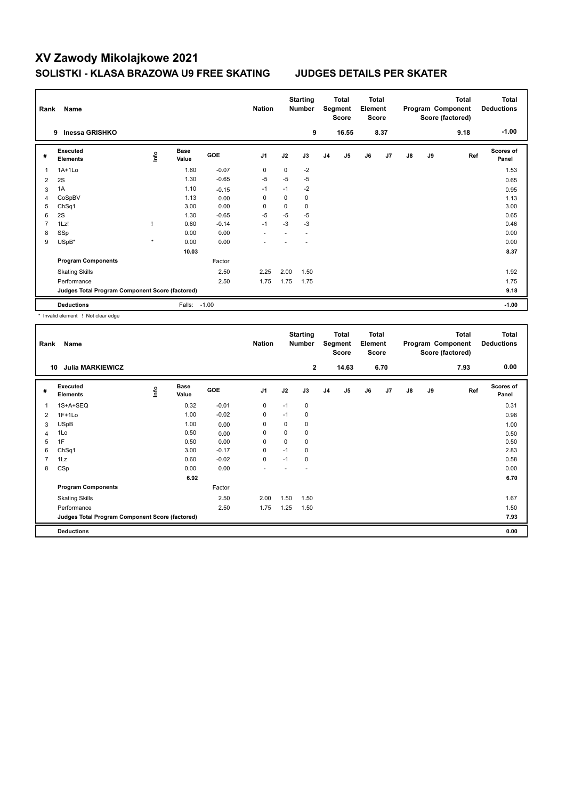| Rank | Name                                            |         |               |         | <b>Nation</b>  |             | <b>Starting</b><br><b>Number</b> |                | Total<br>Segment<br><b>Score</b> | <b>Total</b><br>Element<br><b>Score</b> |      |    |    | <b>Total</b><br>Program Component<br>Score (factored) | <b>Total</b><br><b>Deductions</b> |
|------|-------------------------------------------------|---------|---------------|---------|----------------|-------------|----------------------------------|----------------|----------------------------------|-----------------------------------------|------|----|----|-------------------------------------------------------|-----------------------------------|
|      | Inessa GRISHKO<br>9                             |         |               |         |                |             | 9                                |                | 16.55                            |                                         | 8.37 |    |    | 9.18                                                  | $-1.00$                           |
| #    | Executed<br><b>Elements</b>                     | ١nf٥    | Base<br>Value | GOE     | J <sub>1</sub> | J2          | J3                               | J <sub>4</sub> | J5                               | J6                                      | J7   | J8 | J9 | Ref                                                   | Scores of<br>Panel                |
| 1    | $1A+1Lo$                                        |         | 1.60          | $-0.07$ | 0              | 0           | $-2$                             |                |                                  |                                         |      |    |    |                                                       | 1.53                              |
| 2    | 2S                                              |         | 1.30          | $-0.65$ | $-5$           | $-5$        | $-5$                             |                |                                  |                                         |      |    |    |                                                       | 0.65                              |
| 3    | 1A                                              |         | 1.10          | $-0.15$ | $-1$           | $-1$        | $-2$                             |                |                                  |                                         |      |    |    |                                                       | 0.95                              |
| 4    | CoSpBV                                          |         | 1.13          | 0.00    | 0              | 0           | 0                                |                |                                  |                                         |      |    |    |                                                       | 1.13                              |
| 5    | ChSq1                                           |         | 3.00          | 0.00    | 0              | $\mathbf 0$ | 0                                |                |                                  |                                         |      |    |    |                                                       | 3.00                              |
| 6    | 2S                                              |         | 1.30          | $-0.65$ | $-5$           | $-5$        | $-5$                             |                |                                  |                                         |      |    |    |                                                       | 0.65                              |
| 7    | 1Lz!                                            |         | 0.60          | $-0.14$ | $-1$           | $-3$        | $-3$                             |                |                                  |                                         |      |    |    |                                                       | 0.46                              |
| 8    | SSp                                             |         | 0.00          | 0.00    |                |             |                                  |                |                                  |                                         |      |    |    |                                                       | 0.00                              |
| 9    | USpB*                                           | $\star$ | 0.00          | 0.00    |                |             |                                  |                |                                  |                                         |      |    |    |                                                       | 0.00                              |
|      |                                                 |         | 10.03         |         |                |             |                                  |                |                                  |                                         |      |    |    |                                                       | 8.37                              |
|      | <b>Program Components</b>                       |         |               | Factor  |                |             |                                  |                |                                  |                                         |      |    |    |                                                       |                                   |
|      | <b>Skating Skills</b>                           |         |               | 2.50    | 2.25           | 2.00        | 1.50                             |                |                                  |                                         |      |    |    |                                                       | 1.92                              |
|      | Performance                                     |         |               | 2.50    | 1.75           | 1.75        | 1.75                             |                |                                  |                                         |      |    |    |                                                       | 1.75                              |
|      | Judges Total Program Component Score (factored) |         |               |         |                |             |                                  |                |                                  |                                         |      |    |    |                                                       | 9.18                              |
|      | <b>Deductions</b>                               |         | Falls:        | $-1.00$ |                |             |                                  |                |                                  |                                         |      |    |    |                                                       | $-1.00$                           |

\* Invalid element ! Not clear edge

| Rank           | Name                                            |      |                      |         | <b>Nation</b>  |      | <b>Starting</b><br>Number |                | Total<br>Segment<br><b>Score</b> | <b>Total</b><br>Element<br>Score |      |               |    | <b>Total</b><br>Program Component<br>Score (factored) | <b>Total</b><br><b>Deductions</b> |
|----------------|-------------------------------------------------|------|----------------------|---------|----------------|------|---------------------------|----------------|----------------------------------|----------------------------------|------|---------------|----|-------------------------------------------------------|-----------------------------------|
| 10             | <b>Julia MARKIEWICZ</b>                         |      |                      |         |                |      | $\overline{2}$            |                | 14.63                            |                                  | 6.70 |               |    | 7.93                                                  | 0.00                              |
| #              | Executed<br><b>Elements</b>                     | lnfo | <b>Base</b><br>Value | GOE     | J <sub>1</sub> | J2   | J3                        | J <sub>4</sub> | J5                               | J6                               | J7   | $\mathsf{J}8$ | J9 | Ref                                                   | <b>Scores of</b><br>Panel         |
|                | 1S+A+SEQ                                        |      | 0.32                 | $-0.01$ | 0              | $-1$ | 0                         |                |                                  |                                  |      |               |    |                                                       | 0.31                              |
| 2              | $1F+1Lo$                                        |      | 1.00                 | $-0.02$ | 0              | $-1$ | 0                         |                |                                  |                                  |      |               |    |                                                       | 0.98                              |
| 3              | <b>USpB</b>                                     |      | 1.00                 | 0.00    | 0              | 0    | 0                         |                |                                  |                                  |      |               |    |                                                       | 1.00                              |
| 4              | 1Lo                                             |      | 0.50                 | 0.00    | 0              | 0    | 0                         |                |                                  |                                  |      |               |    |                                                       | 0.50                              |
| 5              | 1F                                              |      | 0.50                 | 0.00    | 0              | 0    | 0                         |                |                                  |                                  |      |               |    |                                                       | 0.50                              |
| 6              | ChSq1                                           |      | 3.00                 | $-0.17$ | 0              | $-1$ | 0                         |                |                                  |                                  |      |               |    |                                                       | 2.83                              |
| $\overline{7}$ | 1Lz                                             |      | 0.60                 | $-0.02$ | $\mathbf 0$    | $-1$ | 0                         |                |                                  |                                  |      |               |    |                                                       | 0.58                              |
| 8              | CSp                                             |      | 0.00                 | 0.00    | ٠              |      |                           |                |                                  |                                  |      |               |    |                                                       | 0.00                              |
|                |                                                 |      | 6.92                 |         |                |      |                           |                |                                  |                                  |      |               |    |                                                       | 6.70                              |
|                | <b>Program Components</b>                       |      |                      | Factor  |                |      |                           |                |                                  |                                  |      |               |    |                                                       |                                   |
|                | <b>Skating Skills</b>                           |      |                      | 2.50    | 2.00           | 1.50 | 1.50                      |                |                                  |                                  |      |               |    |                                                       | 1.67                              |
|                | Performance                                     |      |                      | 2.50    | 1.75           | 1.25 | 1.50                      |                |                                  |                                  |      |               |    |                                                       | 1.50                              |
|                | Judges Total Program Component Score (factored) |      |                      |         |                |      |                           |                |                                  |                                  |      |               |    |                                                       | 7.93                              |
|                | <b>Deductions</b>                               |      |                      |         |                |      |                           |                |                                  |                                  |      |               |    |                                                       | 0.00                              |